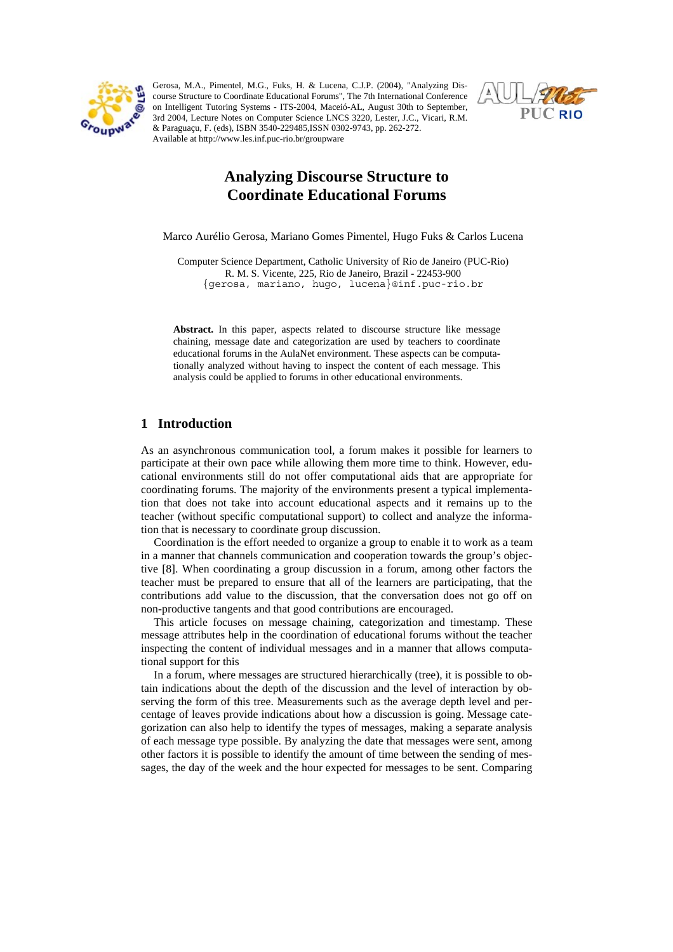

Gerosa, M.A., Pimentel, M.G., Fuks, H. & Lucena, C.J.P. (2004), "Analyzing Discourse Structure to Coordinate Educational Forums", The 7th International Conference on Intelligent Tutoring Systems - ITS-2004, Maceió-AL, August 30th to September, 3rd 2004, Lecture Notes on Computer Science LNCS 3220, Lester, J.C., Vicari, R.M. & Paraguaçu, F. (eds), ISBN 3540-229485,ISSN 0302-9743, pp. 262-272. Available at http://www.les.inf.puc-rio.br/groupware



# **Analyzing Discourse Structure to Coordinate Educational Forums**

Marco Aurélio Gerosa, Mariano Gomes Pimentel, Hugo Fuks & Carlos Lucena

Computer Science Department, Catholic University of Rio de Janeiro (PUC-Rio) R. M. S. Vicente, 225, Rio de Janeiro, Brazil - 22453-900 {gerosa, mariano, hugo, lucena}@inf.puc-rio.br

Abstract. In this paper, aspects related to discourse structure like message chaining, message date and categorization are used by teachers to coordinate educational forums in the AulaNet environment. These aspects can be computationally analyzed without having to inspect the content of each message. This analysis could be applied to forums in other educational environments.

## **1 Introduction**

As an asynchronous communication tool, a forum makes it possible for learners to participate at their own pace while allowing them more time to think. However, educational environments still do not offer computational aids that are appropriate for coordinating forums. The majority of the environments present a typical implementation that does not take into account educational aspects and it remains up to the teacher (without specific computational support) to collect and analyze the information that is necessary to coordinate group discussion.

Coordination is the effort needed to organize a group to enable it to work as a team in a manner that channels communication and cooperation towards the group's objective [8]. When coordinating a group discussion in a forum, among other factors the teacher must be prepared to ensure that all of the learners are participating, that the contributions add value to the discussion, that the conversation does not go off on non-productive tangents and that good contributions are encouraged.

This article focuses on message chaining, categorization and timestamp. These message attributes help in the coordination of educational forums without the teacher inspecting the content of individual messages and in a manner that allows computational support for this

In a forum, where messages are structured hierarchically (tree), it is possible to obtain indications about the depth of the discussion and the level of interaction by observing the form of this tree. Measurements such as the average depth level and percentage of leaves provide indications about how a discussion is going. Message categorization can also help to identify the types of messages, making a separate analysis of each message type possible. By analyzing the date that messages were sent, among other factors it is possible to identify the amount of time between the sending of messages, the day of the week and the hour expected for messages to be sent. Comparing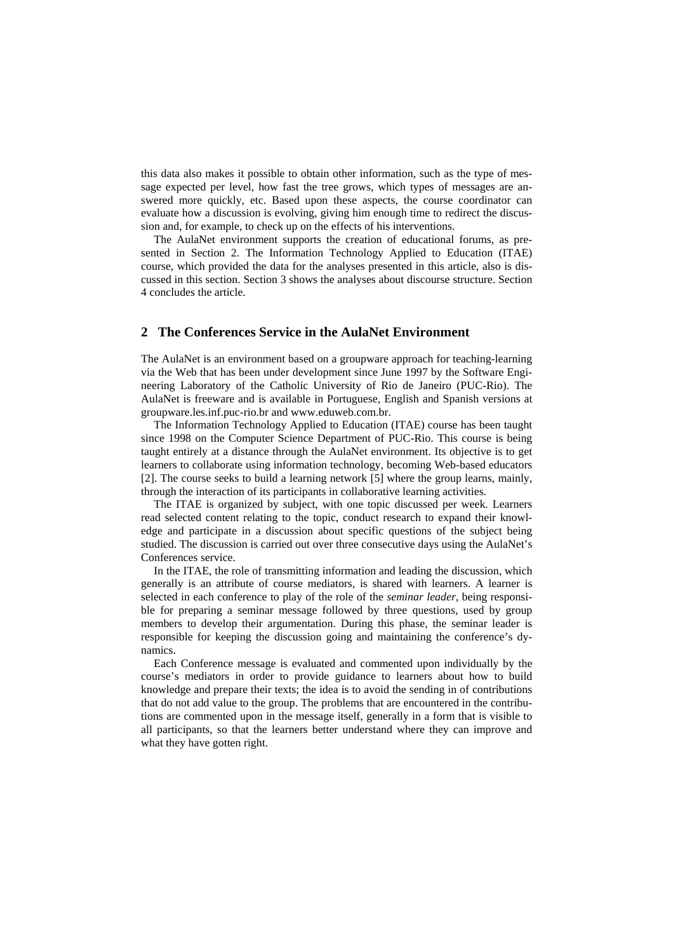this data also makes it possible to obtain other information, such as the type of message expected per level, how fast the tree grows, which types of messages are answered more quickly, etc. Based upon these aspects, the course coordinator can evaluate how a discussion is evolving, giving him enough time to redirect the discussion and, for example, to check up on the effects of his interventions.

The AulaNet environment supports the creation of educational forums, as presented in Section 2. The Information Technology Applied to Education (ITAE) course, which provided the data for the analyses presented in this article, also is discussed in this section. Section 3 shows the analyses about discourse structure. Section 4 concludes the article.

# **2 The Conferences Service in the AulaNet Environment**

The AulaNet is an environment based on a groupware approach for teaching-learning via the Web that has been under development since June 1997 by the Software Engineering Laboratory of the Catholic University of Rio de Janeiro (PUC-Rio). The AulaNet is freeware and is available in Portuguese, English and Spanish versions at groupware.les.inf.puc-rio.br and www.eduweb.com.br.

The Information Technology Applied to Education (ITAE) course has been taught since 1998 on the Computer Science Department of PUC-Rio. This course is being taught entirely at a distance through the AulaNet environment. Its objective is to get learners to collaborate using information technology, becoming Web-based educators [2]. The course seeks to build a learning network [5] where the group learns, mainly, through the interaction of its participants in collaborative learning activities.

The ITAE is organized by subject, with one topic discussed per week. Learners read selected content relating to the topic, conduct research to expand their knowledge and participate in a discussion about specific questions of the subject being studied. The discussion is carried out over three consecutive days using the AulaNet's Conferences service.

In the ITAE, the role of transmitting information and leading the discussion, which generally is an attribute of course mediators, is shared with learners. A learner is selected in each conference to play of the role of the *seminar leader*, being responsible for preparing a seminar message followed by three questions, used by group members to develop their argumentation. During this phase, the seminar leader is responsible for keeping the discussion going and maintaining the conference's dynamics.

Each Conference message is evaluated and commented upon individually by the course's mediators in order to provide guidance to learners about how to build knowledge and prepare their texts; the idea is to avoid the sending in of contributions that do not add value to the group. The problems that are encountered in the contributions are commented upon in the message itself, generally in a form that is visible to all participants, so that the learners better understand where they can improve and what they have gotten right.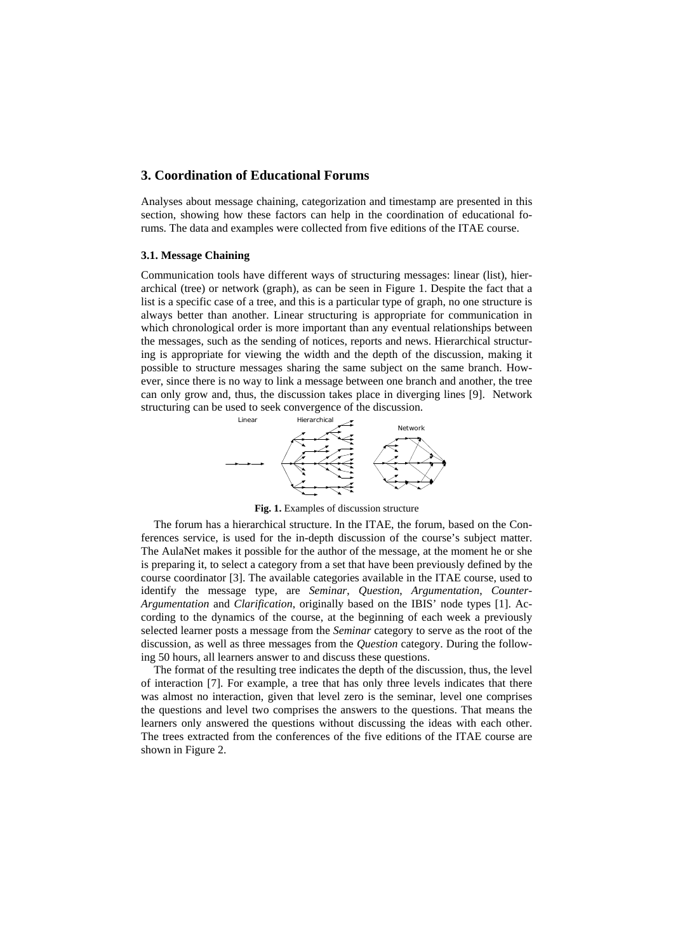# **3. Coordination of Educational Forums**

Analyses about message chaining, categorization and timestamp are presented in this section, showing how these factors can help in the coordination of educational forums. The data and examples were collected from five editions of the ITAE course.

#### **3.1. Message Chaining**

Communication tools have different ways of structuring messages: linear (list), hierarchical (tree) or network (graph), as can be seen in Figure 1. Despite the fact that a list is a specific case of a tree, and this is a particular type of graph, no one structure is always better than another. Linear structuring is appropriate for communication in which chronological order is more important than any eventual relationships between the messages, such as the sending of notices, reports and news. Hierarchical structuring is appropriate for viewing the width and the depth of the discussion, making it possible to structure messages sharing the same subject on the same branch. However, since there is no way to link a message between one branch and another, the tree can only grow and, thus, the discussion takes place in diverging lines [9]. Network structuring can be used to seek convergence of the discussion.



**Fig. 1.** Examples of discussion structure

The forum has a hierarchical structure. In the ITAE, the forum, based on the Conferences service, is used for the in-depth discussion of the course's subject matter. The AulaNet makes it possible for the author of the message, at the moment he or she is preparing it, to select a category from a set that have been previously defined by the course coordinator [3]. The available categories available in the ITAE course, used to identify the message type, are *Seminar*, *Question*, *Argumentation*, *Counter-Argumentation* and *Clarification*, originally based on the IBIS' node types [1]. According to the dynamics of the course, at the beginning of each week a previously selected learner posts a message from the *Seminar* category to serve as the root of the discussion, as well as three messages from the *Question* category. During the following 50 hours, all learners answer to and discuss these questions.

The format of the resulting tree indicates the depth of the discussion, thus, the level of interaction [7]. For example, a tree that has only three levels indicates that there was almost no interaction, given that level zero is the seminar, level one comprises the questions and level two comprises the answers to the questions. That means the learners only answered the questions without discussing the ideas with each other. The trees extracted from the conferences of the five editions of the ITAE course are shown in Figure 2.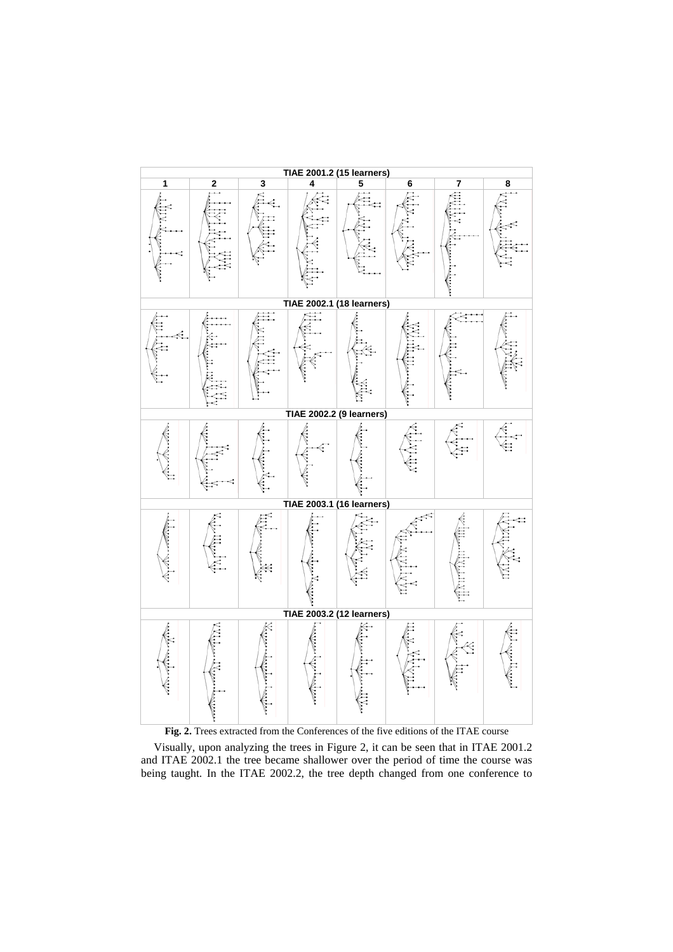

Visually, upon analyzing the trees in Figure 2, it can be seen that in ITAE 2001.2 and ITAE 2002.1 the tree became shallower over the period of time the course was being taught. In the ITAE 2002.2, the tree depth changed from one conference to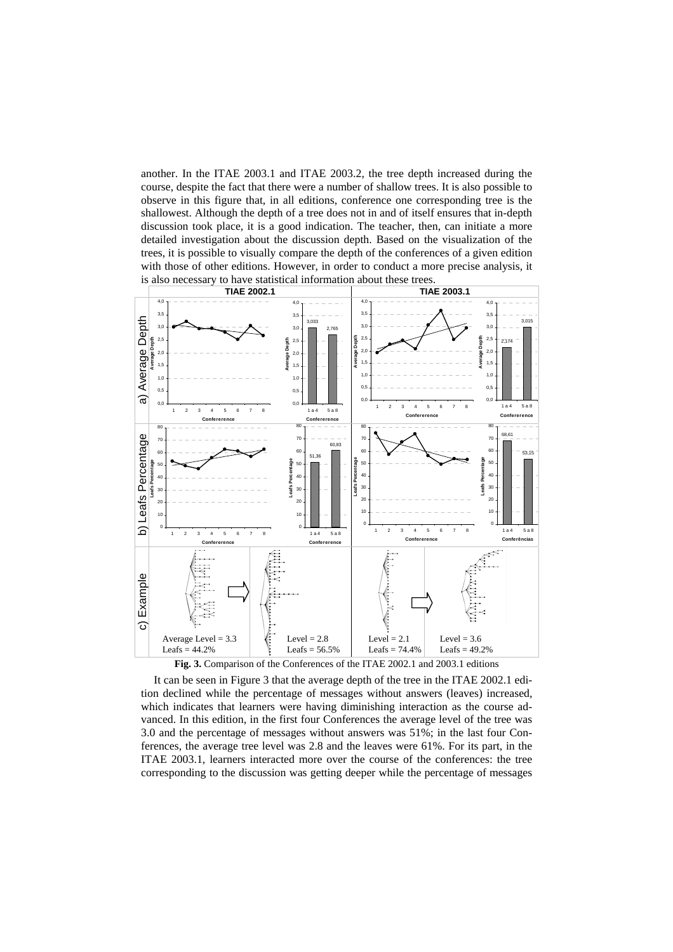another. In the ITAE 2003.1 and ITAE 2003.2, the tree depth increased during the course, despite the fact that there were a number of shallow trees. It is also possible to observe in this figure that, in all editions, conference one corresponding tree is the shallowest. Although the depth of a tree does not in and of itself ensures that in-depth discussion took place, it is a good indication. The teacher, then, can initiate a more detailed investigation about the discussion depth. Based on the visualization of the trees, it is possible to visually compare the depth of the conferences of a given edition with those of other editions. However, in order to conduct a more precise analysis, it is also necessary to have statistical information about these trees.



**Fig. 3.** Comparison of the Conferences of the ITAE 2002.1 and 2003.1 editions

It can be seen in Figure 3 that the average depth of the tree in the ITAE 2002.1 edition declined while the percentage of messages without answers (leaves) increased, which indicates that learners were having diminishing interaction as the course advanced. In this edition, in the first four Conferences the average level of the tree was 3.0 and the percentage of messages without answers was 51%; in the last four Conferences, the average tree level was 2.8 and the leaves were 61%. For its part, in the ITAE 2003.1, learners interacted more over the course of the conferences: the tree corresponding to the discussion was getting deeper while the percentage of messages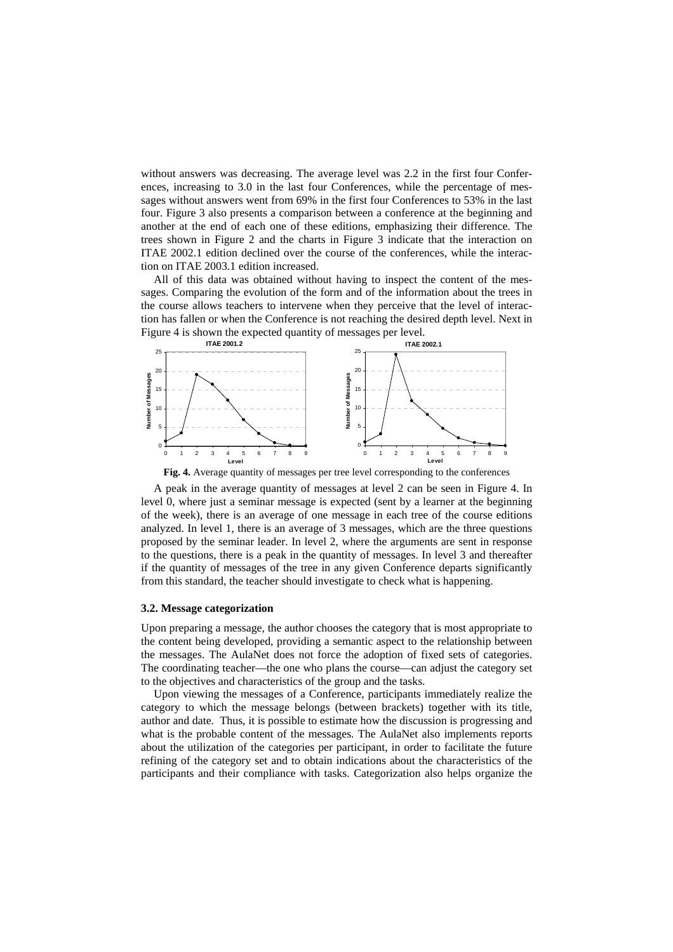without answers was decreasing. The average level was 2.2 in the first four Conferences, increasing to 3.0 in the last four Conferences, while the percentage of messages without answers went from 69% in the first four Conferences to 53% in the last four. Figure 3 also presents a comparison between a conference at the beginning and another at the end of each one of these editions, emphasizing their difference. The trees shown in Figure 2 and the charts in Figure 3 indicate that the interaction on ITAE 2002.1 edition declined over the course of the conferences, while the interaction on ITAE 2003.1 edition increased.

All of this data was obtained without having to inspect the content of the messages. Comparing the evolution of the form and of the information about the trees in the course allows teachers to intervene when they perceive that the level of interaction has fallen or when the Conference is not reaching the desired depth level. Next in Figure 4 is shown the expected quantity of messages per level.



**Fig. 4.** Average quantity of messages per tree level corresponding to the conferences

A peak in the average quantity of messages at level 2 can be seen in Figure 4. In level 0, where just a seminar message is expected (sent by a learner at the beginning of the week), there is an average of one message in each tree of the course editions analyzed. In level 1, there is an average of 3 messages, which are the three questions proposed by the seminar leader. In level 2, where the arguments are sent in response to the questions, there is a peak in the quantity of messages. In level 3 and thereafter if the quantity of messages of the tree in any given Conference departs significantly from this standard, the teacher should investigate to check what is happening.

#### **3.2. Message categorization**

Upon preparing a message, the author chooses the category that is most appropriate to the content being developed, providing a semantic aspect to the relationship between the messages. The AulaNet does not force the adoption of fixed sets of categories. The coordinating teacher—the one who plans the course—can adjust the category set to the objectives and characteristics of the group and the tasks.

Upon viewing the messages of a Conference, participants immediately realize the category to which the message belongs (between brackets) together with its title, author and date. Thus, it is possible to estimate how the discussion is progressing and what is the probable content of the messages. The AulaNet also implements reports about the utilization of the categories per participant, in order to facilitate the future refining of the category set and to obtain indications about the characteristics of the participants and their compliance with tasks. Categorization also helps organize the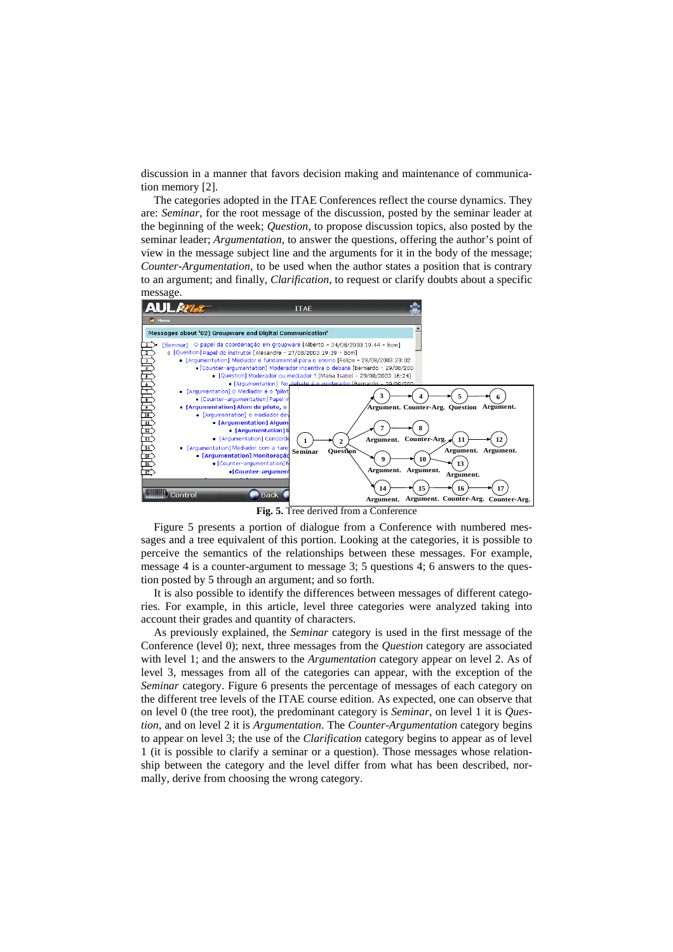discussion in a manner that favors decision making and maintenance of communication memory [2].

The categories adopted in the ITAE Conferences reflect the course dynamics. They are: *Seminar*, for the root message of the discussion, posted by the seminar leader at the beginning of the week; *Question*, to propose discussion topics, also posted by the seminar leader; *Argumentation*, to answer the questions, offering the author's point of view in the message subject line and the arguments for it in the body of the message; *Counter-Argumentation*, to be used when the author states a position that is contrary to an argument; and finally, *Clarification*, to request or clarify doubts about a specific message.



**Fig. 5.** Tree derived from a Conference

Figure 5 presents a portion of dialogue from a Conference with numbered messages and a tree equivalent of this portion. Looking at the categories, it is possible to perceive the semantics of the relationships between these messages. For example, message 4 is a counter-argument to message 3; 5 questions 4; 6 answers to the question posted by 5 through an argument; and so forth.

It is also possible to identify the differences between messages of different categories. For example, in this article, level three categories were analyzed taking into account their grades and quantity of characters.

As previously explained, the *Seminar* category is used in the first message of the Conference (level 0); next, three messages from the *Question* category are associated with level 1; and the answers to the *Argumentation* category appear on level 2. As of level 3, messages from all of the categories can appear, with the exception of the *Seminar* category. Figure 6 presents the percentage of messages of each category on the different tree levels of the ITAE course edition. As expected, one can observe that on level 0 (the tree root), the predominant category is *Seminar*, on level 1 it is *Question*, and on level 2 it is *Argumentation*. The *Counter-Argumentation* category begins to appear on level 3; the use of the *Clarification* category begins to appear as of level 1 (it is possible to clarify a seminar or a question). Those messages whose relationship between the category and the level differ from what has been described, normally, derive from choosing the wrong category.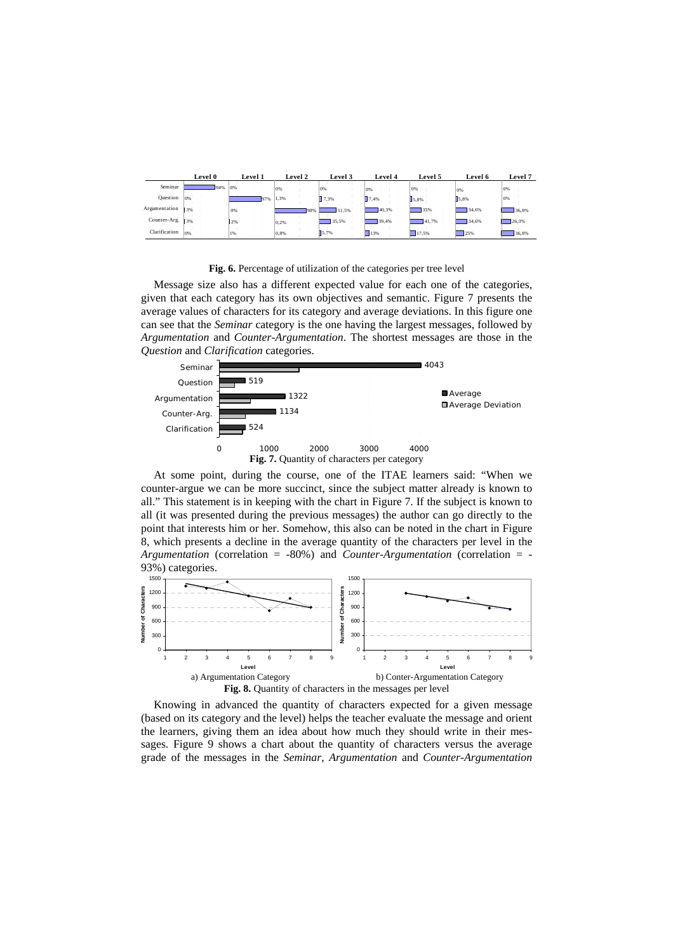|               | Level 0 | <b>Level 1</b> | Level 2 | Level 3 | Level 4 | Level 5 | Level 6 | <b>Level 7</b> |
|---------------|---------|----------------|---------|---------|---------|---------|---------|----------------|
| Seminar       | 94%     | $ 0\% $        | 0%      | 0%      | 0%      | 0%      | 0%      | 0%             |
| Question      | 0%      | 97%            | 1.3%    | 7,3%    | 7,4%    | 15.8%   | 15.8%   | 0%             |
| Argumentation | 3%      | 0%             | 98%     | 51.5%   | 40.3%   | 35%     | 34.6%   | 36.8%          |
| Counter-Arg.  | 3%      | 2%             | 0.2%    | 35.5%   | 39.4%   | 41.7%   | 34.6%   | 26.3%          |
| Clarification | 0%      | 1%             | 0,8%    | 3,7%    | 13%     | 17.5%   | 25%     | 36.8%          |



Message size also has a different expected value for each one of the categories, given that each category has its own objectives and semantic. Figure 7 presents the average values of characters for its category and average deviations. In this figure one can see that the *Seminar* category is the one having the largest messages, followed by *Argumentation* and *Counter-Argumentation*. The shortest messages are those in the *Question* and *Clarification* categories.



At some point, during the course, one of the ITAE learners said: "When we counter-argue we can be more succinct, since the subject matter already is known to all." This statement is in keeping with the chart in Figure 7. If the subject is known to all (it was presented during the previous messages) the author can go directly to the point that interests him or her. Somehow, this also can be noted in the chart in Figure 8, which presents a decline in the average quantity of the characters per level in the *Argumentation* (correlation = -80%) and *Counter-Argumentation* (correlation = - 93%) categories.



Knowing in advanced the quantity of characters expected for a given message (based on its category and the level) helps the teacher evaluate the message and orient the learners, giving them an idea about how much they should write in their messages. Figure 9 shows a chart about the quantity of characters versus the average grade of the messages in the *Seminar*, *Argumentation* and *Counter-Argumentation*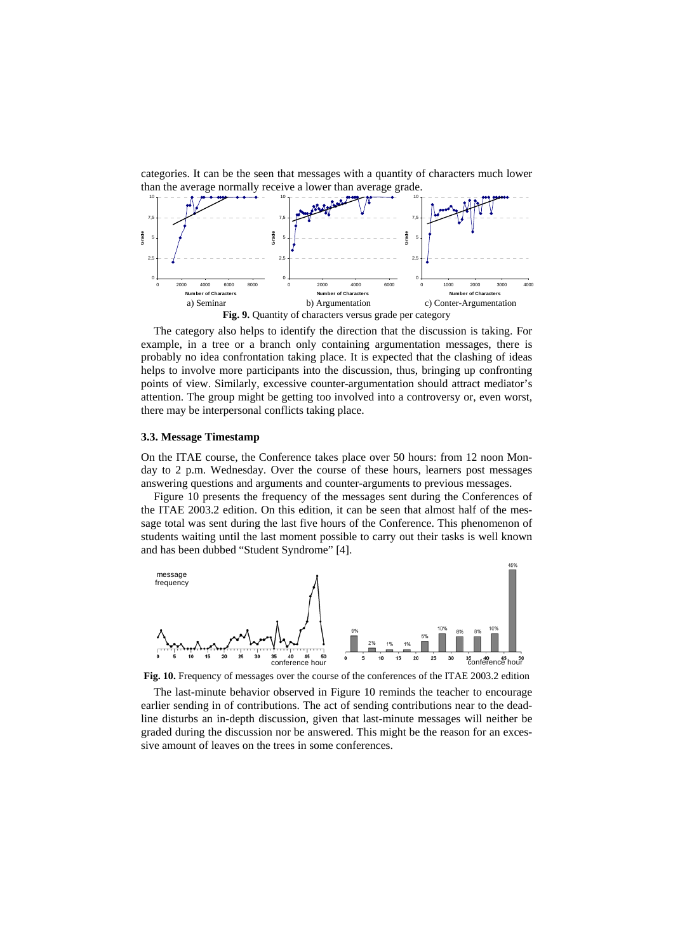categories. It can be the seen that messages with a quantity of characters much lower than the average normally receive a lower than average grade.



**Fig. 9.** Quantity of characters versus grade per category

The category also helps to identify the direction that the discussion is taking. For example, in a tree or a branch only containing argumentation messages, there is probably no idea confrontation taking place. It is expected that the clashing of ideas helps to involve more participants into the discussion, thus, bringing up confronting points of view. Similarly, excessive counter-argumentation should attract mediator's attention. The group might be getting too involved into a controversy or, even worst, there may be interpersonal conflicts taking place.

#### **3.3. Message Timestamp**

On the ITAE course, the Conference takes place over 50 hours: from 12 noon Monday to 2 p.m. Wednesday. Over the course of these hours, learners post messages answering questions and arguments and counter-arguments to previous messages.

Figure 10 presents the frequency of the messages sent during the Conferences of the ITAE 2003.2 edition. On this edition, it can be seen that almost half of the message total was sent during the last five hours of the Conference. This phenomenon of students waiting until the last moment possible to carry out their tasks is well known and has been dubbed "Student Syndrome" [4].



**Fig. 10.** Frequency of messages over the course of the conferences of the ITAE 2003.2 edition

The last-minute behavior observed in Figure 10 reminds the teacher to encourage earlier sending in of contributions. The act of sending contributions near to the deadline disturbs an in-depth discussion, given that last-minute messages will neither be graded during the discussion nor be answered. This might be the reason for an excessive amount of leaves on the trees in some conferences.